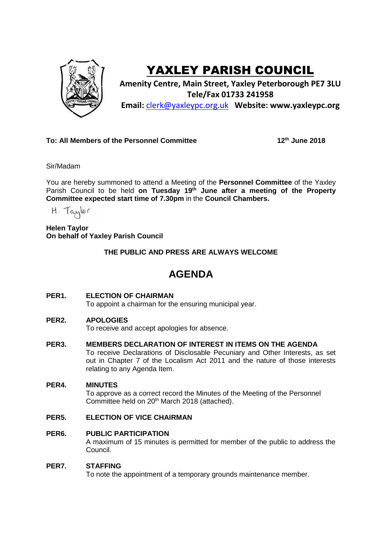

# YAXLEY PARISH COUNCIL

**Amenity Centre, Main Street, Yaxley Peterborough PE7 3LU Tele/Fax 01733 241958 Email:** [clerk@yaxleypc.org.uk](mailto:clerk@yaxleypc.org.uk) **Website: www.yaxleypc.org**

## **To: All Members of the Personnel Committee 12th June 2018**

Sir/Madam

You are hereby summoned to attend a Meeting of the **Personnel Committee** of the Yaxley Parish Council to be held **on Tuesday 19th June after a meeting of the Property Committee expected start time of 7.30pm** in the **Council Chambers.**

H. Taylor

**Helen Taylor On behalf of Yaxley Parish Council**

**THE PUBLIC AND PRESS ARE ALWAYS WELCOME**

## **AGENDA**

#### **PER1. ELECTION OF CHAIRMAN**

To appoint a chairman for the ensuring municipal year.

#### **PER2. APOLOGIES**

To receive and accept apologies for absence.

**PER3. MEMBERS DECLARATION OF INTEREST IN ITEMS ON THE AGENDA**

To receive Declarations of Disclosable Pecuniary and Other Interests, as set out in Chapter 7 of the Localism Act 2011 and the nature of those interests relating to any Agenda Item.

#### **PER4. MINUTES**

To approve as a correct record the Minutes of the Meeting of the Personnel Committee held on 20<sup>th</sup> March 2018 (attached).

#### **PER5. ELECTION OF VICE CHAIRMAN**

#### **PER6. PUBLIC PARTICIPATION**

A maximum of 15 minutes is permitted for member of the public to address the Council.

#### **PER7. STAFFING**

To note the appointment of a temporary grounds maintenance member.